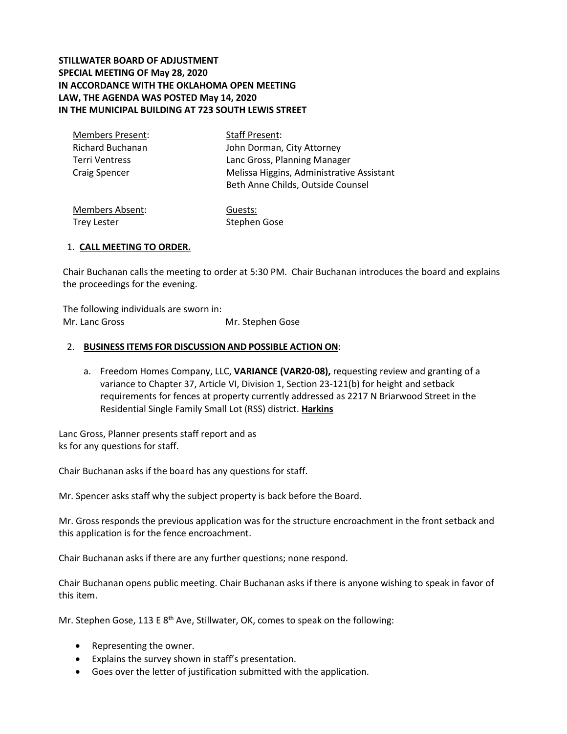# **STILLWATER BOARD OF ADJUSTMENT SPECIAL MEETING OF May 28, 2020 IN ACCORDANCE WITH THE OKLAHOMA OPEN MEETING LAW, THE AGENDA WAS POSTED May 14, 2020 IN THE MUNICIPAL BUILDING AT 723 SOUTH LEWIS STREET**

| <b>Members Present:</b> | Staff Present:                            |  |  |
|-------------------------|-------------------------------------------|--|--|
| <b>Richard Buchanan</b> | John Dorman, City Attorney                |  |  |
| Terri Ventress          | Lanc Gross, Planning Manager              |  |  |
| <b>Craig Spencer</b>    | Melissa Higgins, Administrative Assistant |  |  |
|                         | Beth Anne Childs, Outside Counsel         |  |  |
|                         |                                           |  |  |

Members Absent: Trey Lester Guests: Stephen Gose

## 1. **CALL MEETING TO ORDER.**

Chair Buchanan calls the meeting to order at 5:30 PM. Chair Buchanan introduces the board and explains the proceedings for the evening.

The following individuals are sworn in: Mr. Lanc Gross Mr. Stephen Gose

## 2. **BUSINESS ITEMS FOR DISCUSSION AND POSSIBLE ACTION ON**:

a. Freedom Homes Company, LLC, **VARIANCE (VAR20-08),** requesting review and granting of a variance to Chapter 37, Article VI, Division 1, Section 23-121(b) for height and setback requirements for fences at property currently addressed as 2217 N Briarwood Street in the Residential Single Family Small Lot (RSS) district. **Harkins**

Lanc Gross, Planner presents staff report and as ks for any questions for staff.

Chair Buchanan asks if the board has any questions for staff.

Mr. Spencer asks staff why the subject property is back before the Board.

Mr. Gross responds the previous application was for the structure encroachment in the front setback and this application is for the fence encroachment.

Chair Buchanan asks if there are any further questions; none respond.

Chair Buchanan opens public meeting. Chair Buchanan asks if there is anyone wishing to speak in favor of this item.

Mr. Stephen Gose, 113 E  $8<sup>th</sup>$  Ave, Stillwater, OK, comes to speak on the following:

- Representing the owner.
- Explains the survey shown in staff's presentation.
- Goes over the letter of justification submitted with the application.